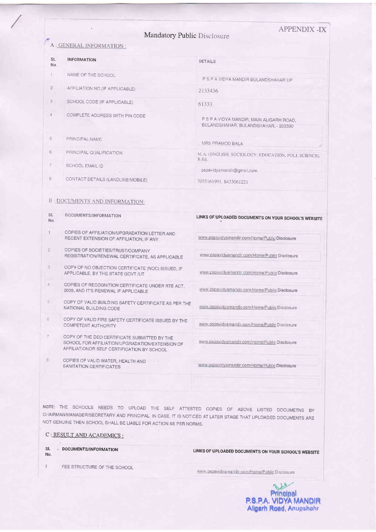|                             | <b>APPENDIX-IX</b> |
|-----------------------------|--------------------|
| Mandatory Public Disclosure |                    |

## A : GENERAL INFORMATION :

| <b>SL</b><br>No. | <b>INFORMATION</b>                | <b>DETAILS</b>                                                                   |
|------------------|-----------------------------------|----------------------------------------------------------------------------------|
|                  | NAME OF THE SCHOOL                | P S P A VIDYA MANDIR BULANDSHAHAR UP                                             |
| $\mathfrak{D}$   | AFFILIATION NO (IF APPLICABLE)    | 2133436                                                                          |
| 3                | SCHOOL CODE (IF APPLICABLE)       | 61333                                                                            |
| 4                | COMPLETE ADDRESS WITH PIN CODE    | P S P A VIDYA MANDIR, MAIN ALIGARH ROAD,<br>BULANDSHAHAR, BULANDSHAHAR, - 203390 |
| 5                | PRINCIPAL NAME                    | MRS PRAMOD BALA                                                                  |
| 6                | PRINCIPAL QUALIFICATION           | M.A. (ENGLISH, SOCIOLOGY, EDUCATION, POLI SCIENCE),<br>B.Ed.                     |
| 7                | SCHOOL EMAIL ID                   | pspavidyamandir@gmail.com                                                        |
| 8                | CONTACT DETAILS (LANDLINE/MOBILE) | 7055161991, 8433061221                                                           |

## **B: DOCUMENTS AND INFORMATION:**

| <b>SL</b><br>N <sub>o</sub> | DOCUMENTS/INFORMATION                                                                                                                         | LINKS OF UPLOADED DOCUMENTS ON YOUR SCHOOL'S WEBSITE |
|-----------------------------|-----------------------------------------------------------------------------------------------------------------------------------------------|------------------------------------------------------|
| $\mathbf{1}$                | COPIES OF AFFILIATION/UPGRADATION LETTER AND<br>RECENT EXTENSION OF AFFILIATION, IF ANY                                                       | www.pspavidyamandir.com/Home/Public Disclosure       |
| $\overline{2}$              | COPIES OF SOCIETIES/TRUST/COMPANY<br>REGISTRATION/RENEWAL CERTIFICATE, AS APPLICABLE                                                          | www.pspavidyamandir.com/Home/Public Disclosure       |
| 3                           | COPY OF NO OBJECTION CERTIFICATE (NOC) ISSUED, IF<br>APPLICABLE, BY THE STATE GOVT /UT                                                        | www.pspavidyamandir.com/Home/Public Disclosure       |
| $\overline{4}$              | COPIES OF RECOGNITION CERTIFICATE UNDER RTE ACT.<br>2009, AND IT'S RENEWAL IF APPLICABLE                                                      | www.pspavidyamandir.com/Home/Public Disclosure       |
| 5                           | COPY OF VALID BUILDING SAFETY CERTIFICATE AS PER THE<br>NATIONAL BUILDING CODE                                                                | www.pspavidyamandir.com/Home/Public Disclosure       |
| 6                           | COPY OF VALID FIRE SAFETY CERTIFICATE ISSUED BY THE<br><b>COMPETENT AUTHORITY</b>                                                             | www.pspavidyamandir.com/Home/Public Disclosure       |
| 7                           | COPY OF THE DEO CERTIFICATE SUBMITTED BY THE<br>SCHOOL FOR AFFILIATION/UPGRADATION/EXTENSION OF<br>AFFILIATIONOR SELF CERTIFICATION BY SCHOOL | www.pspavidyamandir.com/Home/Public Disclosure       |
| 8                           | COPIES OF VALID WATER, HEALTH AND<br>SANITATION CERTIFICATES                                                                                  | www.pspavidyamandir.com/Home/Public Disclosure       |
|                             |                                                                                                                                               |                                                      |

NOTE: THE SCHOOLS NEEDS TO UPLOAD THE SELF ATTESTED COPIES OF ABOVE LISTED DOCUMETNS BY CHAIRMAN/MANAGER/SECRETARY AND PRINCIPAL IN CASE, IT IS NOTICED AT LATER STAGE THAT UPLOADED DOCUMENTS ARE NOT GENUINE THEN SCHOOL SHALL BE LIABLE FOR ACTION AS PER NORMS.

## C: RESULT AND ACADEMICS:

 $SL$ - DOCUMENTS/INFORMATION No.

 $\uparrow$ 

LINKS OF UPLOADED DOCUMENTS ON YOUR SCHOOL'S WEBSITE

FEE STRUCTURE OF THE SCHOOL

www.pspavidyamandir.com/Home/Public Disclosure

Re **Principal P.S.P.A. VIDYA MANDIR**<br>Aligarh Road, Anupshahr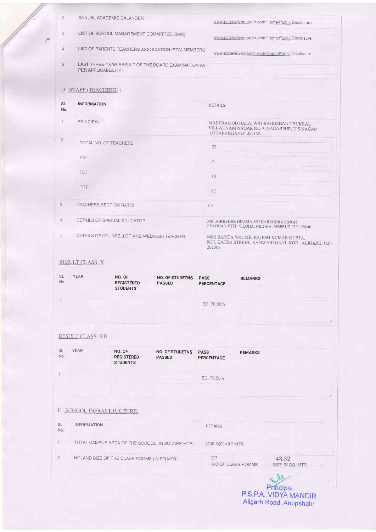|                     | <b>RESULT CLASS: X</b>                                                                                   |  |                 |                                                                                                              |                                                                                                 |  |  |
|---------------------|----------------------------------------------------------------------------------------------------------|--|-----------------|--------------------------------------------------------------------------------------------------------------|-------------------------------------------------------------------------------------------------|--|--|
|                     |                                                                                                          |  |                 |                                                                                                              |                                                                                                 |  |  |
| 5                   | DETAILS OF COUNSELLOR AND WELNESS TEACHER                                                                |  |                 | 202001                                                                                                       | MRS SARITA W/O MR_RAJESH KUMAR GUPTA,<br>9/37, KATRA STREET, KANWARI GANJ, KOIL, ALIGARH, U.P.- |  |  |
| 4                   | DETAILS OF SPECIAL EDUCATOR                                                                              |  |                 |                                                                                                              | MR ADHISHEK DHAMA S/O HARENDRA SINGH<br>PRADHAN PTTI, NILOHA, NILOHA, MEERUT, U.P.-250401       |  |  |
| 3                   | TEACHERS SECTION RATIO                                                                                   |  | 1.9             |                                                                                                              |                                                                                                 |  |  |
|                     | <b>PRT</b>                                                                                               |  | 07              |                                                                                                              |                                                                                                 |  |  |
|                     | <b>TGT</b>                                                                                               |  | 10 <sup>°</sup> |                                                                                                              |                                                                                                 |  |  |
|                     | PGT                                                                                                      |  | 05              |                                                                                                              |                                                                                                 |  |  |
| $\overline{2}$      | TOTAL NO. OF TEACHERS                                                                                    |  |                 | 27                                                                                                           |                                                                                                 |  |  |
| s.                  | <b>PRINCIPAL</b>                                                                                         |  |                 | MRS PRAMOD BALA, W/O-RAJKISHAN THUKRAL<br>VILL-SHYAM NAGAR NO-7, GADARPUR, U.S.NAGAR<br>(UTTARAKHAND)-263152 |                                                                                                 |  |  |
| <b>SL</b><br>No.    | <b>INFORMATION</b>                                                                                       |  |                 | <b>DETAILS</b>                                                                                               |                                                                                                 |  |  |
|                     | D: STAFF (TEACHING):                                                                                     |  |                 |                                                                                                              |                                                                                                 |  |  |
|                     | PER APPLICABLILITY                                                                                       |  |                 |                                                                                                              |                                                                                                 |  |  |
| $\overline{4}$<br>5 | LIST OF PARENTS TEACHERS ASSOCIATION (PTA) MEMBERS<br>LAST THREE-YEAR RESULT OF THE BOARD EXAMINATION AS |  |                 | www.pspavidyamandir.com/Home/Public Disclosure                                                               |                                                                                                 |  |  |
| 3                   | LIST OF SCHOOL MANAGEMENT COMMITTEE (SMC)                                                                |  |                 |                                                                                                              | www.pspavidyamandir.com/Home/Public Disclosure                                                  |  |  |
| $\overline{c}$      | ANNUAL ACADEMIC CALANDER                                                                                 |  |                 |                                                                                                              | www.pspavidyamandir.com/Home/Public Disclosure                                                  |  |  |

| RESULT CLASS: XII |  |  |  |  |  |  |  |
|-------------------|--|--|--|--|--|--|--|
|-------------------|--|--|--|--|--|--|--|

| <b>SL</b><br>No. | <b>YEAR</b>                | NO. OF<br><b>REGISTERED</b><br><b>STUDENTS</b> | <b>NO. OF STUDETNS</b><br><b>PASSED</b>         | <b>PASS</b><br>PERCENTAGE | <b>REMARKS</b> |                                             |   |
|------------------|----------------------------|------------------------------------------------|-------------------------------------------------|---------------------------|----------------|---------------------------------------------|---|
|                  |                            |                                                |                                                 | EG. 78.56%                |                |                                             |   |
|                  | E : SCHOOL INFRASTRUCTURE: |                                                |                                                 |                           |                |                                             | B |
| <b>SL</b><br>No. | <b>INFORMATION</b>         |                                                |                                                 | <b>DETAILS</b>            |                |                                             |   |
|                  |                            |                                                | TOTAL CAMPUS AREA OF THE SCHOOL (IN SQUARE MTR) | 6398 SQUARE MTR           |                |                                             |   |
| $\overline{2}$   |                            | NO. AND SIZE OF THE CLASS ROOMS (IN SQ MTR)    |                                                 | 22<br>NO OF CLASS ROMMS   |                | 48.32<br>SIZE IN SQ, MTR<br><b>W. F. F.</b> |   |

Principal<br>P.S.P.A. VIDYA MANDIR<br>Aligarh Road, Anupshahr